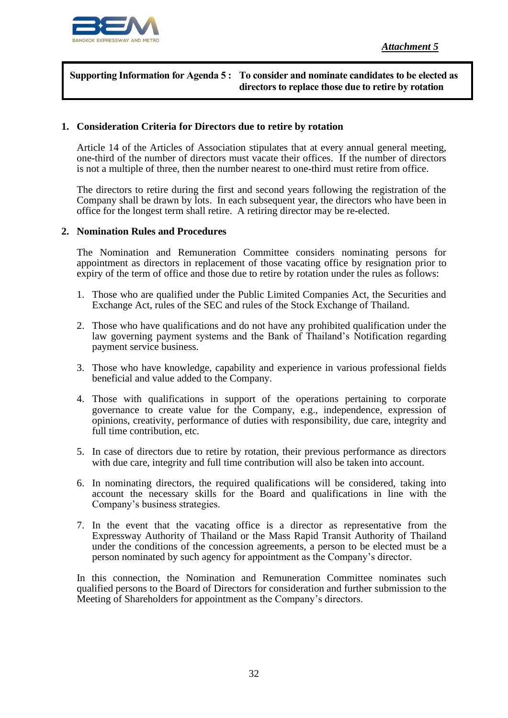

#### **Supporting Information for Agenda 5 : To consider and nominate candidates to be elected as directors to replace those due to retire by rotation**

#### **1. Consideration Criteria for Directors due to retire by rotation**

Article 14 of the Articles of Association stipulates that at every annual general meeting, one-third of the number of directors must vacate their offices. If the number of directors is not a multiple of three, then the number nearest to one-third must retire from office.

The directors to retire during the first and second years following the registration of the Company shall be drawn by lots. In each subsequent year, the directors who have been in office for the longest term shall retire. A retiring director may be re-elected.

#### **2. Nomination Rules and Procedures**

The Nomination and Remuneration Committee considers nominating persons for appointment as directors in replacement of those vacating office by resignation prior to expiry of the term of office and those due to retire by rotation under the rules as follows:

- 1. Those who are qualified under the Public Limited Companies Act, the Securities and Exchange Act, rules of the SEC and rules of the Stock Exchange of Thailand.
- 2. Those who have qualifications and do not have any prohibited qualification under the law governing payment systems and the Bank of Thailand's Notification regarding payment service business.
- 3. Those who have knowledge, capability and experience in various professional fields beneficial and value added to the Company.
- 4. Those with qualifications in support of the operations pertaining to corporate governance to create value for the Company, e.g., independence, expression of opinions, creativity, performance of duties with responsibility, due care, integrity and full time contribution, etc.
- 5. In case of directors due to retire by rotation, their previous performance as directors with due care, integrity and full time contribution will also be taken into account.
- 6. In nominating directors, the required qualifications will be considered, taking into account the necessary skills for the Board and qualifications in line with the Company's business strategies.
- 7. In the event that the vacating office is a director as representative from the Expressway Authority of Thailand or the Mass Rapid Transit Authority of Thailand under the conditions of the concession agreements, a person to be elected must be a person nominated by such agency for appointment as the Company's director.

In this connection, the Nomination and Remuneration Committee nominates such qualified persons to the Board of Directors for consideration and further submission to the Meeting of Shareholders for appointment as the Company's directors.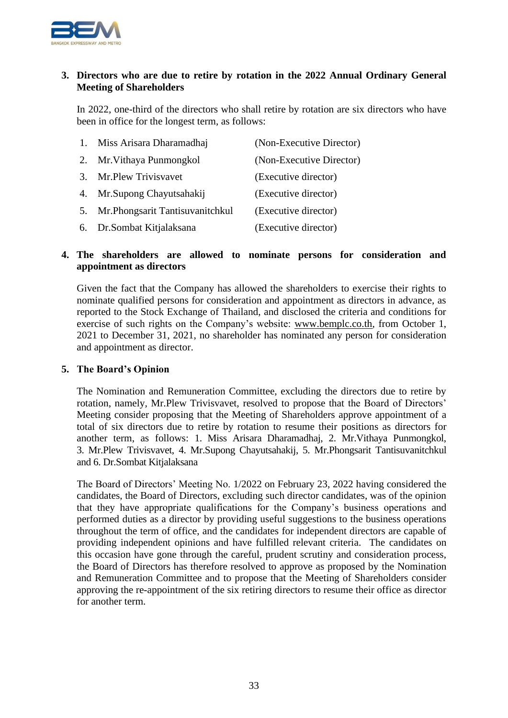

#### **3. Directors who are due to retire by rotation in the 2022 Annual Ordinary General Meeting of Shareholders**

In 2022, one-third of the directors who shall retire by rotation are six directors who have been in office for the longest term, as follows:

|    | 1. Miss Arisara Dharamadhaj       | (Non-Executive Director) |
|----|-----------------------------------|--------------------------|
|    | 2. Mr. Vithaya Punmongkol         | (Non-Executive Director) |
|    | 3. Mr. Plew Trivis vavet          | (Executive director)     |
| 4. | Mr. Supong Chayutsahakij          | (Executive director)     |
| 5. | Mr. Phongsarit Tantisuvanitch kul | (Executive director)     |
|    | 6. Dr. Sombat Kitjalaksana        | (Executive director)     |

#### **4. The shareholders are allowed to nominate persons for consideration and appointment as directors**

Given the fact that the Company has allowed the shareholders to exercise their rights to nominate qualified persons for consideration and appointment as directors in advance, as reported to the Stock Exchange of Thailand, and disclosed the criteria and conditions for exercise of such rights on the Company's website: www.bemplc.co.th, from October 1, 2021 to December 31, 2021, no shareholder has nominated any person for consideration and appointment as director.

#### **5. The Board's Opinion**

The Nomination and Remuneration Committee, excluding the directors due to retire by rotation, namely, Mr.Plew Trivisvavet, resolved to propose that the Board of Directors' Meeting consider proposing that the Meeting of Shareholders approve appointment of a total of six directors due to retire by rotation to resume their positions as directors for another term, as follows: 1. Miss Arisara Dharamadhaj, 2. Mr.Vithaya Punmongkol, 3. Mr.Plew Trivisvavet, 4. Mr.Supong Chayutsahakij, 5. Mr.Phongsarit Tantisuvanitchkul and 6. Dr.Sombat Kitjalaksana

The Board of Directors' Meeting No. 1/2022 on February 23, 2022 having considered the candidates, the Board of Directors, excluding such director candidates, was of the opinion that they have appropriate qualifications for the Company's business operations and performed duties as a director by providing useful suggestions to the business operations throughout the term of office, and the candidates for independent directors are capable of providing independent opinions and have fulfilled relevant criteria. The candidates on this occasion have gone through the careful, prudent scrutiny and consideration process, the Board of Directors has therefore resolved to approve as proposed by the Nomination and Remuneration Committee and to propose that the Meeting of Shareholders consider approving the re-appointment of the six retiring directors to resume their office as director for another term.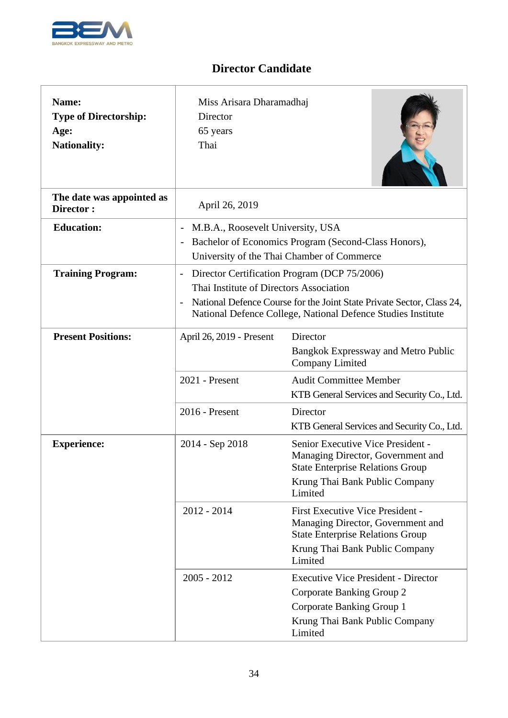

**r** 

## **Director Candidate**

٦

| Name:<br><b>Type of Directorship:</b><br>Age:<br><b>Nationality:</b> | Miss Arisara Dharamadhaj<br>Director<br>65 years<br>Thai                                                                                                                                                                                                                                 |                                                                                                                                                                      |
|----------------------------------------------------------------------|------------------------------------------------------------------------------------------------------------------------------------------------------------------------------------------------------------------------------------------------------------------------------------------|----------------------------------------------------------------------------------------------------------------------------------------------------------------------|
| The date was appointed as<br>Director:                               | April 26, 2019                                                                                                                                                                                                                                                                           |                                                                                                                                                                      |
| <b>Education:</b>                                                    | M.B.A., Roosevelt University, USA<br>$\overline{\phantom{a}}$<br>Bachelor of Economics Program (Second-Class Honors),<br>University of the Thai Chamber of Commerce                                                                                                                      |                                                                                                                                                                      |
| <b>Training Program:</b>                                             | Director Certification Program (DCP 75/2006)<br>$\overline{\phantom{a}}$<br>Thai Institute of Directors Association<br>National Defence Course for the Joint State Private Sector, Class 24,<br>$\overline{\phantom{a}}$<br>National Defence College, National Defence Studies Institute |                                                                                                                                                                      |
| <b>Present Positions:</b>                                            | April 26, 2019 - Present                                                                                                                                                                                                                                                                 | Director<br><b>Bangkok Expressway and Metro Public</b><br>Company Limited                                                                                            |
|                                                                      | 2021 - Present                                                                                                                                                                                                                                                                           | <b>Audit Committee Member</b><br>KTB General Services and Security Co., Ltd.                                                                                         |
|                                                                      | 2016 - Present                                                                                                                                                                                                                                                                           | Director<br>KTB General Services and Security Co., Ltd.                                                                                                              |
| <b>Experience:</b>                                                   | 2014 - Sep 2018                                                                                                                                                                                                                                                                          | Senior Executive Vice President -<br>Managing Director, Government and<br><b>State Enterprise Relations Group</b><br>Krung Thai Bank Public Company<br>Limited       |
|                                                                      | $2012 - 2014$                                                                                                                                                                                                                                                                            | <b>First Executive Vice President -</b><br>Managing Director, Government and<br><b>State Enterprise Relations Group</b><br>Krung Thai Bank Public Company<br>Limited |
|                                                                      | $2005 - 2012$                                                                                                                                                                                                                                                                            | <b>Executive Vice President - Director</b><br>Corporate Banking Group 2<br>Corporate Banking Group 1<br>Krung Thai Bank Public Company<br>Limited                    |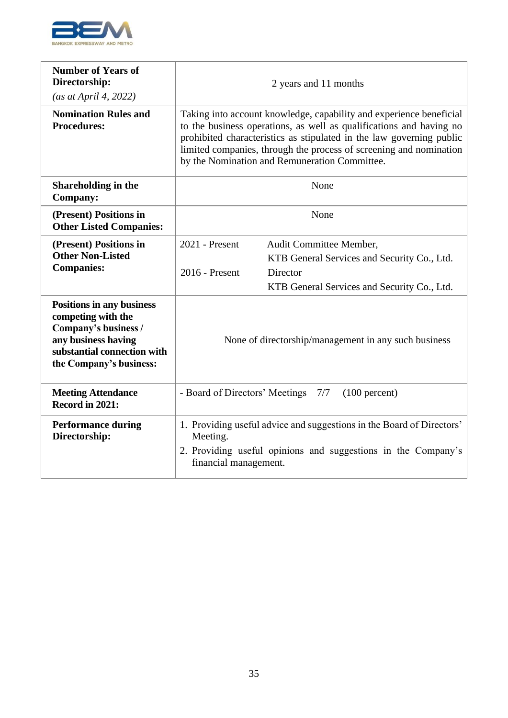

| <b>Number of Years of</b><br>Directorship:<br>(as at April 4, 2022)                                                                                             | 2 years and 11 months                                                                                                                                                                                                                                                                                                                     |                                                                                                                                   |
|-----------------------------------------------------------------------------------------------------------------------------------------------------------------|-------------------------------------------------------------------------------------------------------------------------------------------------------------------------------------------------------------------------------------------------------------------------------------------------------------------------------------------|-----------------------------------------------------------------------------------------------------------------------------------|
| <b>Nomination Rules and</b><br><b>Procedures:</b>                                                                                                               | Taking into account knowledge, capability and experience beneficial<br>to the business operations, as well as qualifications and having no<br>prohibited characteristics as stipulated in the law governing public<br>limited companies, through the process of screening and nomination<br>by the Nomination and Remuneration Committee. |                                                                                                                                   |
| Shareholding in the<br><b>Company:</b>                                                                                                                          | None                                                                                                                                                                                                                                                                                                                                      |                                                                                                                                   |
| (Present) Positions in<br><b>Other Listed Companies:</b>                                                                                                        | None                                                                                                                                                                                                                                                                                                                                      |                                                                                                                                   |
| (Present) Positions in<br><b>Other Non-Listed</b><br><b>Companies:</b>                                                                                          | 2021 - Present<br>2016 - Present                                                                                                                                                                                                                                                                                                          | Audit Committee Member,<br>KTB General Services and Security Co., Ltd.<br>Director<br>KTB General Services and Security Co., Ltd. |
| <b>Positions in any business</b><br>competing with the<br>Company's business /<br>any business having<br>substantial connection with<br>the Company's business: | None of directorship/management in any such business                                                                                                                                                                                                                                                                                      |                                                                                                                                   |
| <b>Meeting Attendance</b><br>Record in 2021:                                                                                                                    | - Board of Directors' Meetings<br>7/7<br>$(100$ percent)                                                                                                                                                                                                                                                                                  |                                                                                                                                   |
| <b>Performance during</b><br>Directorship:                                                                                                                      | 1. Providing useful advice and suggestions in the Board of Directors'<br>Meeting.<br>2. Providing useful opinions and suggestions in the Company's<br>financial management.                                                                                                                                                               |                                                                                                                                   |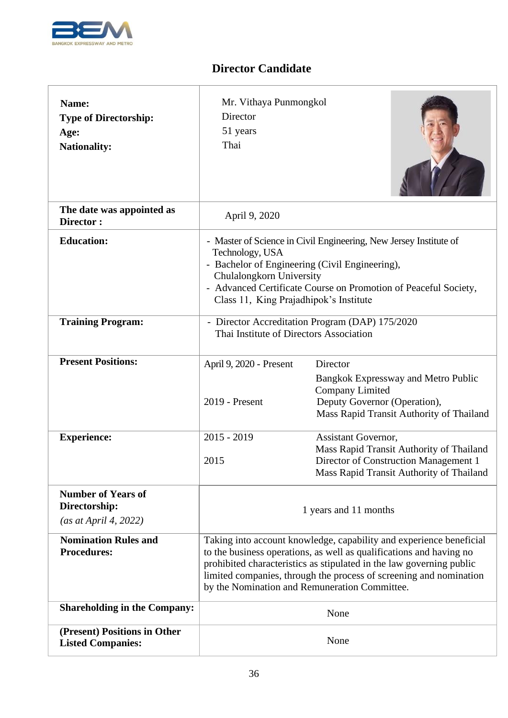

| Name:<br><b>Type of Directorship:</b><br>Age:<br><b>Nationality:</b> | Mr. Vithaya Punmongkol<br>Director<br>51 years<br>Thai                                                                                                                                                                                                                                                                                    |                                                                                                                                                              |
|----------------------------------------------------------------------|-------------------------------------------------------------------------------------------------------------------------------------------------------------------------------------------------------------------------------------------------------------------------------------------------------------------------------------------|--------------------------------------------------------------------------------------------------------------------------------------------------------------|
| The date was appointed as<br>Director:                               | April 9, 2020                                                                                                                                                                                                                                                                                                                             |                                                                                                                                                              |
| <b>Education:</b>                                                    | - Master of Science in Civil Engineering, New Jersey Institute of<br>Technology, USA<br>- Bachelor of Engineering (Civil Engineering),<br>Chulalongkorn University<br>- Advanced Certificate Course on Promotion of Peaceful Society,<br>Class 11, King Prajadhipok's Institute                                                           |                                                                                                                                                              |
| <b>Training Program:</b>                                             | Thai Institute of Directors Association                                                                                                                                                                                                                                                                                                   | - Director Accreditation Program (DAP) 175/2020                                                                                                              |
| <b>Present Positions:</b>                                            | April 9, 2020 - Present<br>2019 - Present                                                                                                                                                                                                                                                                                                 | Director<br><b>Bangkok Expressway and Metro Public</b><br><b>Company Limited</b><br>Deputy Governor (Operation),<br>Mass Rapid Transit Authority of Thailand |
| <b>Experience:</b>                                                   | $2015 - 2019$<br>2015                                                                                                                                                                                                                                                                                                                     | Assistant Governor,<br>Mass Rapid Transit Authority of Thailand<br>Director of Construction Management 1<br>Mass Rapid Transit Authority of Thailand         |
| <b>Number of Years of</b><br>Directorship:<br>(as at April 4, 2022)  | 1 years and 11 months                                                                                                                                                                                                                                                                                                                     |                                                                                                                                                              |
| <b>Nomination Rules and</b><br><b>Procedures:</b>                    | Taking into account knowledge, capability and experience beneficial<br>to the business operations, as well as qualifications and having no<br>prohibited characteristics as stipulated in the law governing public<br>limited companies, through the process of screening and nomination<br>by the Nomination and Remuneration Committee. |                                                                                                                                                              |
| <b>Shareholding in the Company:</b>                                  | None                                                                                                                                                                                                                                                                                                                                      |                                                                                                                                                              |
| (Present) Positions in Other<br><b>Listed Companies:</b>             |                                                                                                                                                                                                                                                                                                                                           | None                                                                                                                                                         |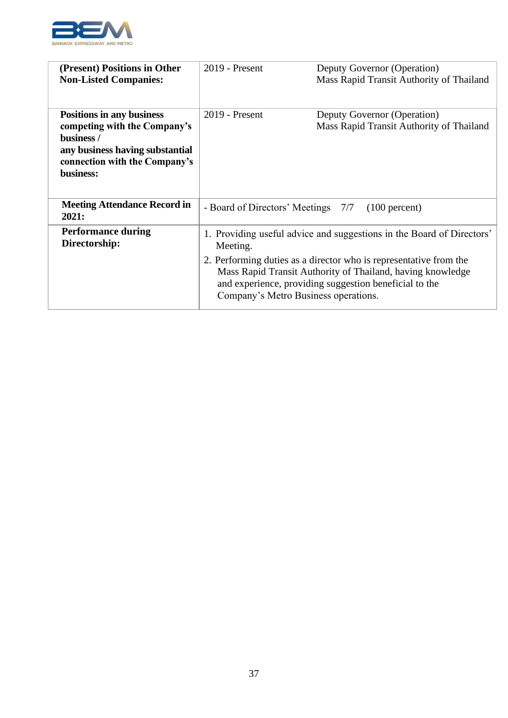

| (Present) Positions in Other<br><b>Non-Listed Companies:</b>                                                                                                    | $2019$ - Present                                                                                                                                                                                                                                                                                                       | Deputy Governor (Operation)<br>Mass Rapid Transit Authority of Thailand |
|-----------------------------------------------------------------------------------------------------------------------------------------------------------------|------------------------------------------------------------------------------------------------------------------------------------------------------------------------------------------------------------------------------------------------------------------------------------------------------------------------|-------------------------------------------------------------------------|
| <b>Positions in any business</b><br>competing with the Company's<br>business /<br>any business having substantial<br>connection with the Company's<br>business: | 2019 - Present                                                                                                                                                                                                                                                                                                         | Deputy Governor (Operation)<br>Mass Rapid Transit Authority of Thailand |
| <b>Meeting Attendance Record in</b><br>2021:                                                                                                                    | - Board of Directors' Meetings 7/7                                                                                                                                                                                                                                                                                     | $(100$ percent)                                                         |
| <b>Performance during</b><br>Directorship:                                                                                                                      | 1. Providing useful advice and suggestions in the Board of Directors'<br>Meeting.<br>2. Performing duties as a director who is representative from the<br>Mass Rapid Transit Authority of Thailand, having knowledge<br>and experience, providing suggestion beneficial to the<br>Company's Metro Business operations. |                                                                         |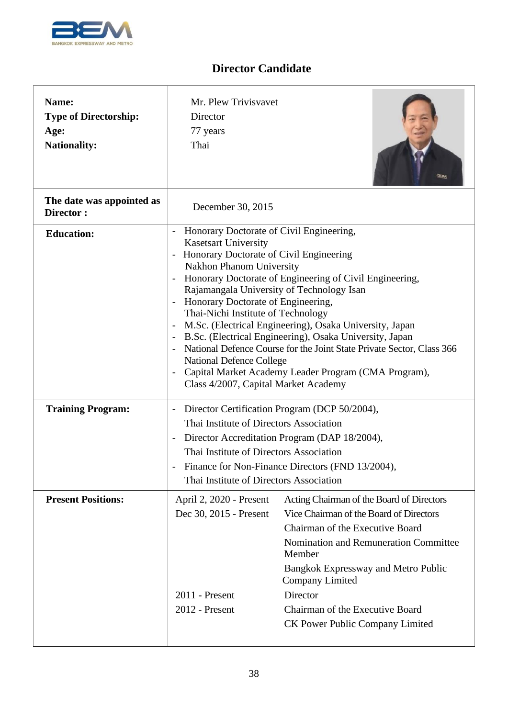

| Name:<br><b>Type of Directorship:</b><br>Age:<br><b>Nationality:</b> | Mr. Plew Trivisvavet<br>Director<br>77 years<br>Thai                                                                                                                                                                                                                                                                                                                                                                                                                                                                                                                                                                                                                                                    |                                                                                                                                                                                                                                                                                                   |
|----------------------------------------------------------------------|---------------------------------------------------------------------------------------------------------------------------------------------------------------------------------------------------------------------------------------------------------------------------------------------------------------------------------------------------------------------------------------------------------------------------------------------------------------------------------------------------------------------------------------------------------------------------------------------------------------------------------------------------------------------------------------------------------|---------------------------------------------------------------------------------------------------------------------------------------------------------------------------------------------------------------------------------------------------------------------------------------------------|
| The date was appointed as<br>Director:                               | December 30, 2015                                                                                                                                                                                                                                                                                                                                                                                                                                                                                                                                                                                                                                                                                       |                                                                                                                                                                                                                                                                                                   |
| <b>Education:</b>                                                    | Honorary Doctorate of Civil Engineering,<br><b>Kasetsart University</b><br>Honorary Doctorate of Civil Engineering<br><b>Nakhon Phanom University</b><br>Honorary Doctorate of Engineering of Civil Engineering,<br>$\overline{\phantom{a}}$<br>Rajamangala University of Technology Isan<br>Honorary Doctorate of Engineering,<br>Thai-Nichi Institute of Technology<br>M.Sc. (Electrical Engineering), Osaka University, Japan<br>B.Sc. (Electrical Engineering), Osaka University, Japan<br>National Defence Course for the Joint State Private Sector, Class 366<br><b>National Defence College</b><br>Capital Market Academy Leader Program (CMA Program),<br>Class 4/2007, Capital Market Academy |                                                                                                                                                                                                                                                                                                   |
| <b>Training Program:</b>                                             | Director Certification Program (DCP 50/2004),<br>$\overline{\phantom{m}}$<br>Thai Institute of Directors Association<br>Director Accreditation Program (DAP 18/2004),<br>$\overline{a}$<br>Thai Institute of Directors Association<br>Finance for Non-Finance Directors (FND 13/2004),<br>Thai Institute of Directors Association                                                                                                                                                                                                                                                                                                                                                                       |                                                                                                                                                                                                                                                                                                   |
| <b>Present Positions:</b>                                            | April 2, 2020 - Present<br>Dec 30, 2015 - Present<br>2011 - Present<br>2012 - Present                                                                                                                                                                                                                                                                                                                                                                                                                                                                                                                                                                                                                   | Acting Chairman of the Board of Directors<br>Vice Chairman of the Board of Directors<br>Chairman of the Executive Board<br>Nomination and Remuneration Committee<br>Member<br><b>Bangkok Expressway and Metro Public</b><br><b>Company Limited</b><br>Director<br>Chairman of the Executive Board |
|                                                                      | CK Power Public Company Limited                                                                                                                                                                                                                                                                                                                                                                                                                                                                                                                                                                                                                                                                         |                                                                                                                                                                                                                                                                                                   |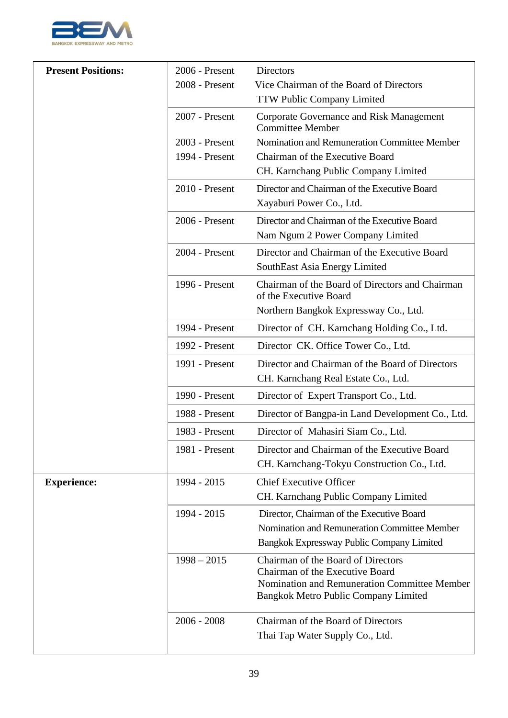

| <b>Present Positions:</b> | 2006 - Present | Directors                                                                                                                                                     |
|---------------------------|----------------|---------------------------------------------------------------------------------------------------------------------------------------------------------------|
|                           | 2008 - Present | Vice Chairman of the Board of Directors                                                                                                                       |
|                           |                | TTW Public Company Limited                                                                                                                                    |
|                           | 2007 - Present | Corporate Governance and Risk Management<br><b>Committee Member</b>                                                                                           |
|                           | 2003 - Present | Nomination and Remuneration Committee Member                                                                                                                  |
|                           | 1994 - Present | Chairman of the Executive Board                                                                                                                               |
|                           |                | CH. Karnchang Public Company Limited                                                                                                                          |
|                           | 2010 - Present | Director and Chairman of the Executive Board<br>Xayaburi Power Co., Ltd.                                                                                      |
|                           |                |                                                                                                                                                               |
|                           | 2006 - Present | Director and Chairman of the Executive Board<br>Nam Ngum 2 Power Company Limited                                                                              |
|                           | 2004 - Present | Director and Chairman of the Executive Board<br>SouthEast Asia Energy Limited                                                                                 |
|                           | 1996 - Present | Chairman of the Board of Directors and Chairman<br>of the Executive Board                                                                                     |
|                           |                | Northern Bangkok Expressway Co., Ltd.                                                                                                                         |
|                           | 1994 - Present | Director of CH. Karnchang Holding Co., Ltd.                                                                                                                   |
|                           | 1992 - Present | Director CK. Office Tower Co., Ltd.                                                                                                                           |
|                           | 1991 - Present | Director and Chairman of the Board of Directors<br>CH. Karnchang Real Estate Co., Ltd.                                                                        |
|                           | 1990 - Present | Director of Expert Transport Co., Ltd.                                                                                                                        |
|                           | 1988 - Present | Director of Bangpa-in Land Development Co., Ltd.                                                                                                              |
|                           | 1983 - Present | Director of Mahasiri Siam Co., Ltd.                                                                                                                           |
|                           | 1981 - Present | Director and Chairman of the Executive Board<br>CH. Karnchang-Tokyu Construction Co., Ltd.                                                                    |
| <b>Experience:</b>        | 1994 - 2015    | <b>Chief Executive Officer</b><br>CH. Karnchang Public Company Limited                                                                                        |
|                           | 1994 - 2015    | Director, Chairman of the Executive Board<br>Nomination and Remuneration Committee Member<br>Bangkok Expressway Public Company Limited                        |
|                           | $1998 - 2015$  | Chairman of the Board of Directors<br>Chairman of the Executive Board<br>Nomination and Remuneration Committee Member<br>Bangkok Metro Public Company Limited |
|                           | $2006 - 2008$  | Chairman of the Board of Directors<br>Thai Tap Water Supply Co., Ltd.                                                                                         |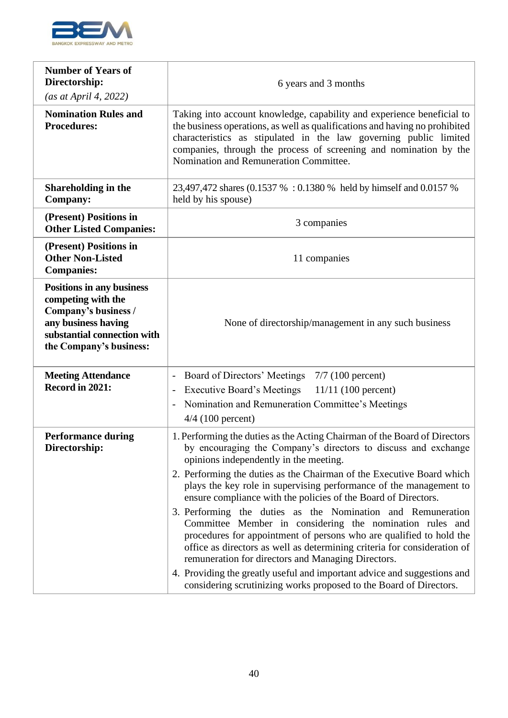

| <b>Number of Years of</b><br>Directorship:                                                                                                               | 6 years and 3 months                                                                                                                                                                                                                                                                                                                                                                                                                                                                                                                                                                                                                                                                                                                                                                                                                                                                         |  |  |
|----------------------------------------------------------------------------------------------------------------------------------------------------------|----------------------------------------------------------------------------------------------------------------------------------------------------------------------------------------------------------------------------------------------------------------------------------------------------------------------------------------------------------------------------------------------------------------------------------------------------------------------------------------------------------------------------------------------------------------------------------------------------------------------------------------------------------------------------------------------------------------------------------------------------------------------------------------------------------------------------------------------------------------------------------------------|--|--|
| (as at April 4, 2022)                                                                                                                                    |                                                                                                                                                                                                                                                                                                                                                                                                                                                                                                                                                                                                                                                                                                                                                                                                                                                                                              |  |  |
| <b>Nomination Rules and</b><br><b>Procedures:</b>                                                                                                        | Taking into account knowledge, capability and experience beneficial to<br>the business operations, as well as qualifications and having no prohibited<br>characteristics as stipulated in the law governing public limited<br>companies, through the process of screening and nomination by the<br>Nomination and Remuneration Committee.                                                                                                                                                                                                                                                                                                                                                                                                                                                                                                                                                    |  |  |
| <b>Shareholding in the</b><br><b>Company:</b>                                                                                                            | 23,497,472 shares (0.1537 %: 0.1380 % held by himself and 0.0157 %<br>held by his spouse)                                                                                                                                                                                                                                                                                                                                                                                                                                                                                                                                                                                                                                                                                                                                                                                                    |  |  |
| (Present) Positions in<br><b>Other Listed Companies:</b>                                                                                                 | 3 companies                                                                                                                                                                                                                                                                                                                                                                                                                                                                                                                                                                                                                                                                                                                                                                                                                                                                                  |  |  |
| (Present) Positions in<br><b>Other Non-Listed</b><br><b>Companies:</b>                                                                                   | 11 companies                                                                                                                                                                                                                                                                                                                                                                                                                                                                                                                                                                                                                                                                                                                                                                                                                                                                                 |  |  |
| Positions in any business<br>competing with the<br>Company's business /<br>any business having<br>substantial connection with<br>the Company's business: | None of directorship/management in any such business                                                                                                                                                                                                                                                                                                                                                                                                                                                                                                                                                                                                                                                                                                                                                                                                                                         |  |  |
| <b>Meeting Attendance</b><br>Record in 2021:                                                                                                             | Board of Directors' Meetings<br>$7/7$ (100 percent)<br>$\overline{\phantom{0}}$<br><b>Executive Board's Meetings</b><br>$11/11$ (100 percent)<br>$\overline{\phantom{a}}$<br>Nomination and Remuneration Committee's Meetings<br>$\overline{\phantom{0}}$<br>$4/4$ (100 percent)                                                                                                                                                                                                                                                                                                                                                                                                                                                                                                                                                                                                             |  |  |
| <b>Performance during</b><br>Directorship:                                                                                                               | 1. Performing the duties as the Acting Chairman of the Board of Directors<br>by encouraging the Company's directors to discuss and exchange<br>opinions independently in the meeting.<br>2. Performing the duties as the Chairman of the Executive Board which<br>plays the key role in supervising performance of the management to<br>ensure compliance with the policies of the Board of Directors.<br>3. Performing the duties as the Nomination and Remuneration<br>Committee Member in considering the nomination rules and<br>procedures for appointment of persons who are qualified to hold the<br>office as directors as well as determining criteria for consideration of<br>remuneration for directors and Managing Directors.<br>4. Providing the greatly useful and important advice and suggestions and<br>considering scrutinizing works proposed to the Board of Directors. |  |  |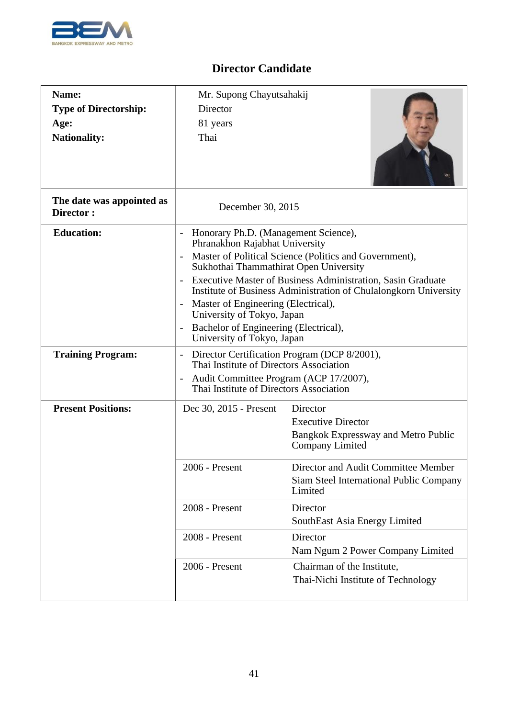

| Name:<br><b>Type of Directorship:</b><br>Age:<br><b>Nationality:</b> | Mr. Supong Chayutsahakij<br>Director<br>81 years<br>Thai                                                                                                                                                                                                                                                                                                                                                                                                                                                          |                                                                                                                                                                                   |
|----------------------------------------------------------------------|-------------------------------------------------------------------------------------------------------------------------------------------------------------------------------------------------------------------------------------------------------------------------------------------------------------------------------------------------------------------------------------------------------------------------------------------------------------------------------------------------------------------|-----------------------------------------------------------------------------------------------------------------------------------------------------------------------------------|
| The date was appointed as<br>Director:                               | December 30, 2015                                                                                                                                                                                                                                                                                                                                                                                                                                                                                                 |                                                                                                                                                                                   |
| <b>Education:</b>                                                    | Honorary Ph.D. (Management Science),<br>$\overline{\phantom{a}}$<br>Phranakhon Rajabhat University<br>Master of Political Science (Politics and Government),<br>$\overline{\phantom{a}}$<br>Sukhothai Thammathirat Open University<br>Executive Master of Business Administration, Sasin Graduate<br>Institute of Business Administration of Chulalongkorn University<br>Master of Engineering (Electrical),<br>University of Tokyo, Japan<br>Bachelor of Engineering (Electrical),<br>University of Tokyo, Japan |                                                                                                                                                                                   |
| <b>Training Program:</b>                                             | Director Certification Program (DCP 8/2001),<br>$\overline{\phantom{a}}$<br>Thai Institute of Directors Association<br>Audit Committee Program (ACP 17/2007),<br>$\overline{\phantom{a}}$<br>Thai Institute of Directors Association                                                                                                                                                                                                                                                                              |                                                                                                                                                                                   |
| <b>Present Positions:</b>                                            | Dec 30, 2015 - Present<br>2006 - Present                                                                                                                                                                                                                                                                                                                                                                                                                                                                          | Director<br><b>Executive Director</b><br>Bangkok Expressway and Metro Public<br>Company Limited<br>Director and Audit Committee Member<br>Siam Steel International Public Company |
|                                                                      | 2008 - Present                                                                                                                                                                                                                                                                                                                                                                                                                                                                                                    | Limited<br>Director<br>SouthEast Asia Energy Limited                                                                                                                              |
|                                                                      | 2008 - Present                                                                                                                                                                                                                                                                                                                                                                                                                                                                                                    | Director<br>Nam Ngum 2 Power Company Limited                                                                                                                                      |
|                                                                      | 2006 - Present                                                                                                                                                                                                                                                                                                                                                                                                                                                                                                    | Chairman of the Institute,<br>Thai-Nichi Institute of Technology                                                                                                                  |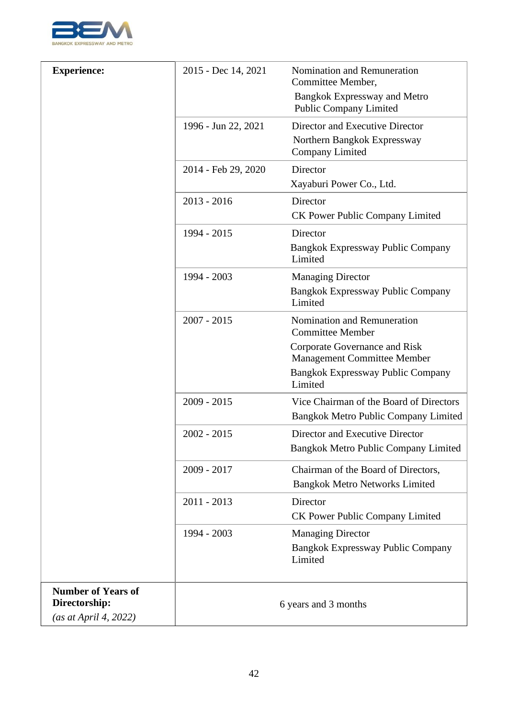

| <b>Experience:</b>        | 2015 - Dec 14, 2021 | Nomination and Remuneration<br>Committee Member,                     |
|---------------------------|---------------------|----------------------------------------------------------------------|
|                           |                     | <b>Bangkok Expressway and Metro</b><br><b>Public Company Limited</b> |
|                           | 1996 - Jun 22, 2021 | Director and Executive Director                                      |
|                           |                     | Northern Bangkok Expressway<br><b>Company Limited</b>                |
|                           | 2014 - Feb 29, 2020 | Director                                                             |
|                           |                     | Xayaburi Power Co., Ltd.                                             |
|                           | $2013 - 2016$       | Director                                                             |
|                           |                     | <b>CK Power Public Company Limited</b>                               |
|                           | 1994 - 2015         | Director                                                             |
|                           |                     | Bangkok Expressway Public Company<br>Limited                         |
|                           | 1994 - 2003         | <b>Managing Director</b>                                             |
|                           |                     | <b>Bangkok Expressway Public Company</b><br>Limited                  |
|                           | $2007 - 2015$       | Nomination and Remuneration<br><b>Committee Member</b>               |
|                           |                     | Corporate Governance and Risk<br><b>Management Committee Member</b>  |
|                           |                     | <b>Bangkok Expressway Public Company</b><br>Limited                  |
|                           | $2009 - 2015$       | Vice Chairman of the Board of Directors                              |
|                           |                     | Bangkok Metro Public Company Limited                                 |
|                           | $2002 - 2015$       | Director and Executive Director                                      |
|                           |                     | Bangkok Metro Public Company Limited                                 |
|                           | 2009 - 2017         | Chairman of the Board of Directors,                                  |
|                           |                     | <b>Bangkok Metro Networks Limited</b>                                |
|                           | $2011 - 2013$       | Director                                                             |
|                           |                     | <b>CK Power Public Company Limited</b>                               |
|                           | 1994 - 2003         | <b>Managing Director</b>                                             |
|                           |                     | <b>Bangkok Expressway Public Company</b><br>Limited                  |
| <b>Number of Years of</b> |                     |                                                                      |
| Directorship:             |                     | 6 years and 3 months                                                 |
| (as at April 4, 2022)     |                     |                                                                      |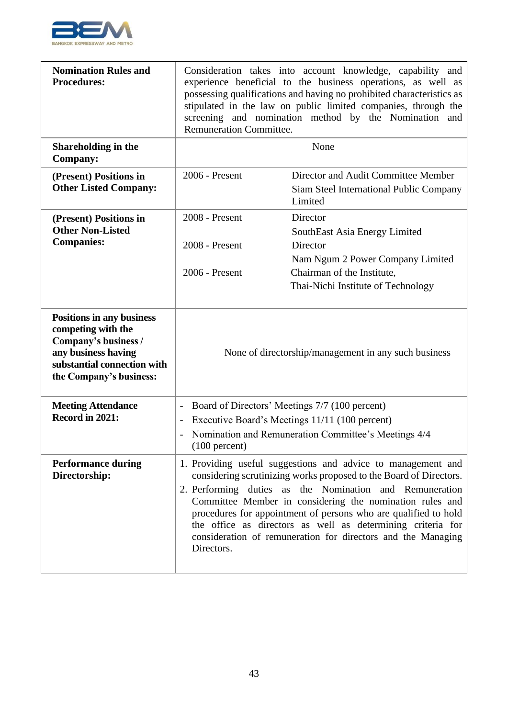

| <b>Nomination Rules and</b><br><b>Procedures:</b>                                                                                                               | Consideration takes into account knowledge, capability and<br>experience beneficial to the business operations, as well as<br>possessing qualifications and having no prohibited characteristics as<br>stipulated in the law on public limited companies, through the<br>screening and nomination method by the Nomination and<br><b>Remuneration Committee.</b>                                                                                                          |                                                                                                      |  |
|-----------------------------------------------------------------------------------------------------------------------------------------------------------------|---------------------------------------------------------------------------------------------------------------------------------------------------------------------------------------------------------------------------------------------------------------------------------------------------------------------------------------------------------------------------------------------------------------------------------------------------------------------------|------------------------------------------------------------------------------------------------------|--|
| Shareholding in the<br><b>Company:</b>                                                                                                                          |                                                                                                                                                                                                                                                                                                                                                                                                                                                                           | None                                                                                                 |  |
| (Present) Positions in<br><b>Other Listed Company:</b>                                                                                                          | 2006 - Present                                                                                                                                                                                                                                                                                                                                                                                                                                                            | Director and Audit Committee Member<br>Siam Steel International Public Company<br>Limited            |  |
| (Present) Positions in<br><b>Other Non-Listed</b><br><b>Companies:</b>                                                                                          | 2008 - Present<br>Director<br>SouthEast Asia Energy Limited<br>2008 - Present<br>Director                                                                                                                                                                                                                                                                                                                                                                                 |                                                                                                      |  |
|                                                                                                                                                                 | 2006 - Present                                                                                                                                                                                                                                                                                                                                                                                                                                                            | Nam Ngum 2 Power Company Limited<br>Chairman of the Institute,<br>Thai-Nichi Institute of Technology |  |
| <b>Positions in any business</b><br>competing with the<br>Company's business /<br>any business having<br>substantial connection with<br>the Company's business: | None of directorship/management in any such business                                                                                                                                                                                                                                                                                                                                                                                                                      |                                                                                                      |  |
| <b>Meeting Attendance</b><br>Record in 2021:                                                                                                                    | Board of Directors' Meetings 7/7 (100 percent)<br>$\overline{\phantom{0}}$<br>Executive Board's Meetings 11/11 (100 percent)<br>$\overline{a}$<br>Nomination and Remuneration Committee's Meetings 4/4<br>$(100$ percent)                                                                                                                                                                                                                                                 |                                                                                                      |  |
| <b>Performance during</b><br>Directorship:                                                                                                                      | 1. Providing useful suggestions and advice to management and<br>considering scrutinizing works proposed to the Board of Directors.<br>2. Performing duties as the Nomination and Remuneration<br>Committee Member in considering the nomination rules and<br>procedures for appointment of persons who are qualified to hold<br>the office as directors as well as determining criteria for<br>consideration of remuneration for directors and the Managing<br>Directors. |                                                                                                      |  |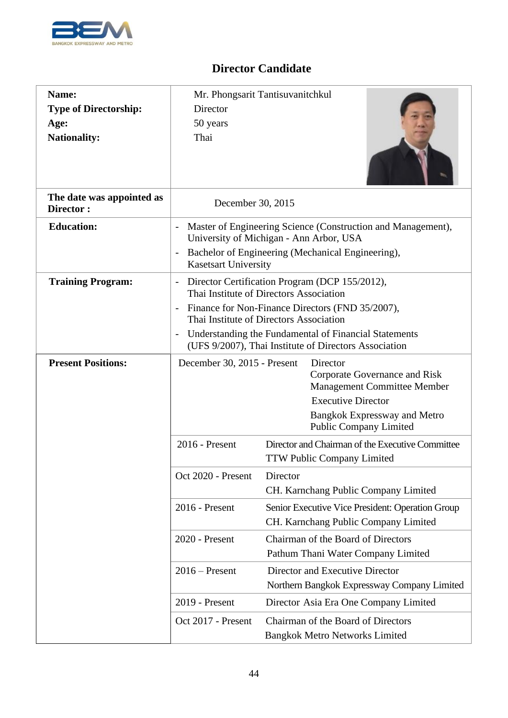

| Name:<br><b>Type of Directorship:</b><br>Age:<br><b>Nationality:</b> | Director<br>50 years<br>Thai                                                                                                                                                                                                                                                  | Mr. Phongsarit Tantisuvanitchkul                                                                                                                             |
|----------------------------------------------------------------------|-------------------------------------------------------------------------------------------------------------------------------------------------------------------------------------------------------------------------------------------------------------------------------|--------------------------------------------------------------------------------------------------------------------------------------------------------------|
| The date was appointed as<br>Director:                               | December 30, 2015                                                                                                                                                                                                                                                             |                                                                                                                                                              |
| <b>Education:</b>                                                    | <b>Kasetsart University</b>                                                                                                                                                                                                                                                   | Master of Engineering Science (Construction and Management),<br>University of Michigan - Ann Arbor, USA<br>Bachelor of Engineering (Mechanical Engineering), |
| <b>Training Program:</b>                                             | Director Certification Program (DCP 155/2012),<br>$\overline{\phantom{a}}$<br>Thai Institute of Directors Association<br>Finance for Non-Finance Directors (FND 35/2007),<br>Thai Institute of Directors Association<br>Understanding the Fundamental of Financial Statements |                                                                                                                                                              |
| <b>Present Positions:</b>                                            | (UFS 9/2007), Thai Institute of Directors Association<br>December 30, 2015 - Present<br>Director<br>Corporate Governance and Risk<br><b>Management Committee Member</b><br><b>Executive Director</b><br><b>Bangkok Expressway and Metro</b><br><b>Public Company Limited</b>  |                                                                                                                                                              |
|                                                                      | 2016 - Present                                                                                                                                                                                                                                                                | Director and Chairman of the Executive Committee<br><b>TTW Public Company Limited</b>                                                                        |
|                                                                      | Oct 2020 - Present                                                                                                                                                                                                                                                            | Director<br>CH. Karnchang Public Company Limited                                                                                                             |
|                                                                      | 2016 - Present                                                                                                                                                                                                                                                                | Senior Executive Vice President: Operation Group<br>CH. Karnchang Public Company Limited                                                                     |
|                                                                      | 2020 - Present                                                                                                                                                                                                                                                                | Chairman of the Board of Directors<br>Pathum Thani Water Company Limited                                                                                     |
|                                                                      | $2016$ – Present                                                                                                                                                                                                                                                              | Director and Executive Director<br>Northern Bangkok Expressway Company Limited                                                                               |
|                                                                      | 2019 - Present                                                                                                                                                                                                                                                                | Director Asia Era One Company Limited                                                                                                                        |
|                                                                      | Oct 2017 - Present                                                                                                                                                                                                                                                            | Chairman of the Board of Directors<br><b>Bangkok Metro Networks Limited</b>                                                                                  |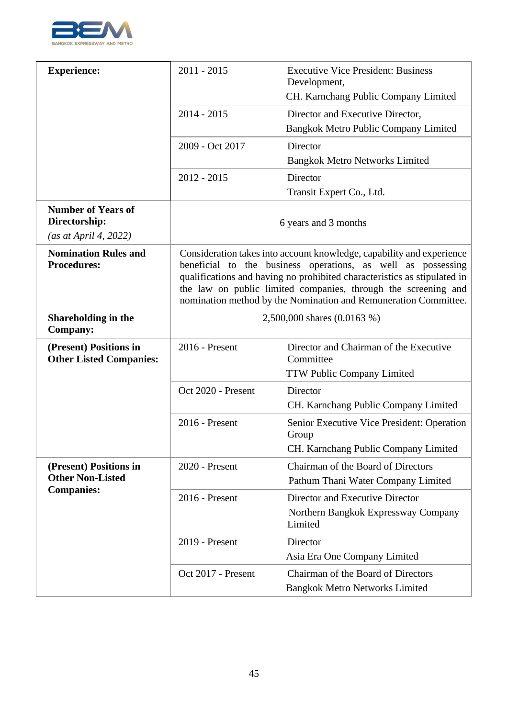

| <b>Experience:</b>                                                  | $2011 - 2015$                                                                                                                                                                                                                                                                                                                                          | <b>Executive Vice President: Business</b><br>Development,                   |
|---------------------------------------------------------------------|--------------------------------------------------------------------------------------------------------------------------------------------------------------------------------------------------------------------------------------------------------------------------------------------------------------------------------------------------------|-----------------------------------------------------------------------------|
|                                                                     |                                                                                                                                                                                                                                                                                                                                                        | CH. Karnchang Public Company Limited                                        |
|                                                                     | $2014 - 2015$                                                                                                                                                                                                                                                                                                                                          | Director and Executive Director,                                            |
|                                                                     |                                                                                                                                                                                                                                                                                                                                                        | Bangkok Metro Public Company Limited                                        |
|                                                                     | 2009 - Oct 2017                                                                                                                                                                                                                                                                                                                                        | Director                                                                    |
|                                                                     |                                                                                                                                                                                                                                                                                                                                                        | <b>Bangkok Metro Networks Limited</b>                                       |
|                                                                     | $2012 - 2015$                                                                                                                                                                                                                                                                                                                                          | Director                                                                    |
|                                                                     |                                                                                                                                                                                                                                                                                                                                                        | Transit Expert Co., Ltd.                                                    |
| <b>Number of Years of</b><br>Directorship:<br>(as at April 4, 2022) |                                                                                                                                                                                                                                                                                                                                                        | 6 years and 3 months                                                        |
| <b>Nomination Rules and</b><br><b>Procedures:</b>                   | Consideration takes into account knowledge, capability and experience<br>beneficial to the business operations, as well as possessing<br>qualifications and having no prohibited characteristics as stipulated in<br>the law on public limited companies, through the screening and<br>nomination method by the Nomination and Remuneration Committee. |                                                                             |
| Shareholding in the<br><b>Company:</b>                              | 2,500,000 shares (0.0163 %)                                                                                                                                                                                                                                                                                                                            |                                                                             |
| (Present) Positions in<br><b>Other Listed Companies:</b>            | 2016 - Present                                                                                                                                                                                                                                                                                                                                         | Director and Chairman of the Executive<br>Committee                         |
|                                                                     |                                                                                                                                                                                                                                                                                                                                                        | <b>TTW Public Company Limited</b>                                           |
|                                                                     | Oct 2020 - Present                                                                                                                                                                                                                                                                                                                                     | Director                                                                    |
|                                                                     |                                                                                                                                                                                                                                                                                                                                                        | CH. Karnchang Public Company Limited                                        |
|                                                                     | 2016 - Present                                                                                                                                                                                                                                                                                                                                         | Senior Executive Vice President: Operation<br>Group                         |
|                                                                     |                                                                                                                                                                                                                                                                                                                                                        | CH. Karnchang Public Company Limited                                        |
| (Present) Positions in                                              | 2020 - Present                                                                                                                                                                                                                                                                                                                                         | Chairman of the Board of Directors                                          |
| <b>Other Non-Listed</b><br><b>Companies:</b>                        |                                                                                                                                                                                                                                                                                                                                                        | Pathum Thani Water Company Limited                                          |
|                                                                     | 2016 - Present                                                                                                                                                                                                                                                                                                                                         | Director and Executive Director                                             |
|                                                                     |                                                                                                                                                                                                                                                                                                                                                        | Northern Bangkok Expressway Company<br>Limited                              |
|                                                                     | 2019 - Present                                                                                                                                                                                                                                                                                                                                         | Director                                                                    |
|                                                                     |                                                                                                                                                                                                                                                                                                                                                        | Asia Era One Company Limited                                                |
|                                                                     | Oct 2017 - Present                                                                                                                                                                                                                                                                                                                                     | Chairman of the Board of Directors<br><b>Bangkok Metro Networks Limited</b> |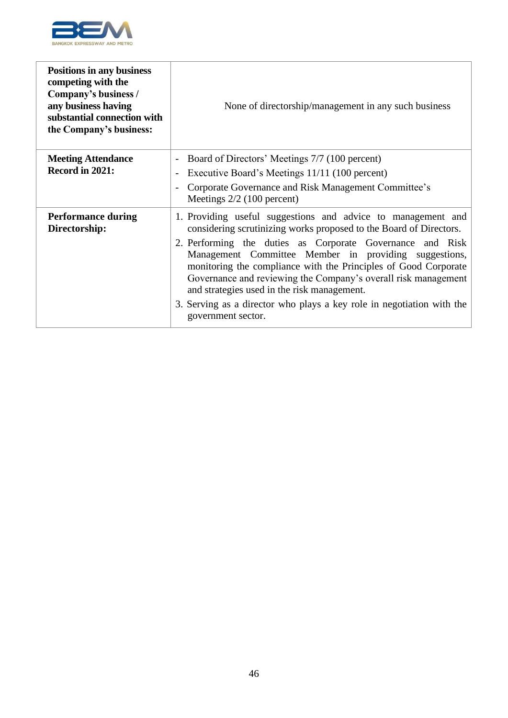

| <b>Positions in any business</b><br>competing with the<br>Company's business /<br>any business having<br>substantial connection with<br>the Company's business: | None of directorship/management in any such business                                                                                                                                                                                                                                                   |
|-----------------------------------------------------------------------------------------------------------------------------------------------------------------|--------------------------------------------------------------------------------------------------------------------------------------------------------------------------------------------------------------------------------------------------------------------------------------------------------|
| <b>Meeting Attendance</b>                                                                                                                                       | Board of Directors' Meetings 7/7 (100 percent)                                                                                                                                                                                                                                                         |
| Record in 2021:                                                                                                                                                 | Executive Board's Meetings 11/11 (100 percent)                                                                                                                                                                                                                                                         |
|                                                                                                                                                                 | Corporate Governance and Risk Management Committee's<br>Meetings $2/2$ (100 percent)                                                                                                                                                                                                                   |
| <b>Performance during</b><br>Directorship:                                                                                                                      | 1. Providing useful suggestions and advice to management and<br>considering scrutinizing works proposed to the Board of Directors.                                                                                                                                                                     |
|                                                                                                                                                                 | 2. Performing the duties as Corporate Governance and Risk<br>Management Committee Member in providing suggestions,<br>monitoring the compliance with the Principles of Good Corporate<br>Governance and reviewing the Company's overall risk management<br>and strategies used in the risk management. |
|                                                                                                                                                                 | 3. Serving as a director who plays a key role in negotiation with the<br>government sector.                                                                                                                                                                                                            |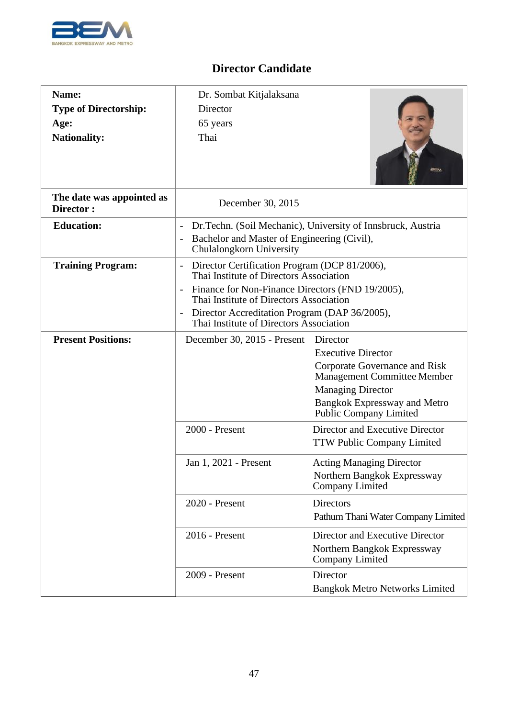

| Name:                                  | Dr. Sombat Kitjalaksana                                                                                                                                                                                             |                                                                                   |
|----------------------------------------|---------------------------------------------------------------------------------------------------------------------------------------------------------------------------------------------------------------------|-----------------------------------------------------------------------------------|
| <b>Type of Directorship:</b>           | Director                                                                                                                                                                                                            |                                                                                   |
| Age:                                   | 65 years                                                                                                                                                                                                            |                                                                                   |
| <b>Nationality:</b>                    | Thai                                                                                                                                                                                                                |                                                                                   |
|                                        |                                                                                                                                                                                                                     |                                                                                   |
| The date was appointed as<br>Director: | December 30, 2015                                                                                                                                                                                                   |                                                                                   |
| <b>Education:</b>                      | $\overline{\phantom{a}}$<br>Bachelor and Master of Engineering (Civil),<br>$\overline{\phantom{a}}$<br>Chulalongkorn University                                                                                     | Dr. Techn. (Soil Mechanic), University of Innsbruck, Austria                      |
| <b>Training Program:</b>               | Director Certification Program (DCP 81/2006),<br>$\overline{\phantom{0}}$<br>Thai Institute of Directors Association<br>Finance for Non-Finance Directors (FND 19/2005),<br>Thai Institute of Directors Association |                                                                                   |
|                                        | Director Accreditation Program (DAP 36/2005),<br>$\overline{\phantom{a}}$<br>Thai Institute of Directors Association                                                                                                |                                                                                   |
| <b>Present Positions:</b>              | December 30, 2015 - Present                                                                                                                                                                                         | Director                                                                          |
|                                        |                                                                                                                                                                                                                     | <b>Executive Director</b>                                                         |
|                                        |                                                                                                                                                                                                                     | Corporate Governance and Risk<br><b>Management Committee Member</b>               |
|                                        |                                                                                                                                                                                                                     | <b>Managing Director</b>                                                          |
|                                        |                                                                                                                                                                                                                     | Bangkok Expressway and Metro<br><b>Public Company Limited</b>                     |
|                                        | 2000 - Present                                                                                                                                                                                                      | Director and Executive Director<br><b>TTW Public Company Limited</b>              |
|                                        | Jan 1, 2021 - Present                                                                                                                                                                                               | <b>Acting Managing Director</b><br>Northern Bangkok Expressway<br>Company Limited |
|                                        | 2020 - Present                                                                                                                                                                                                      | <b>Directors</b>                                                                  |
|                                        |                                                                                                                                                                                                                     | Pathum Thani Water Company Limited                                                |
|                                        | 2016 - Present                                                                                                                                                                                                      | Director and Executive Director                                                   |
|                                        |                                                                                                                                                                                                                     | Northern Bangkok Expressway<br><b>Company Limited</b>                             |
|                                        | 2009 - Present                                                                                                                                                                                                      | Director                                                                          |
|                                        |                                                                                                                                                                                                                     | <b>Bangkok Metro Networks Limited</b>                                             |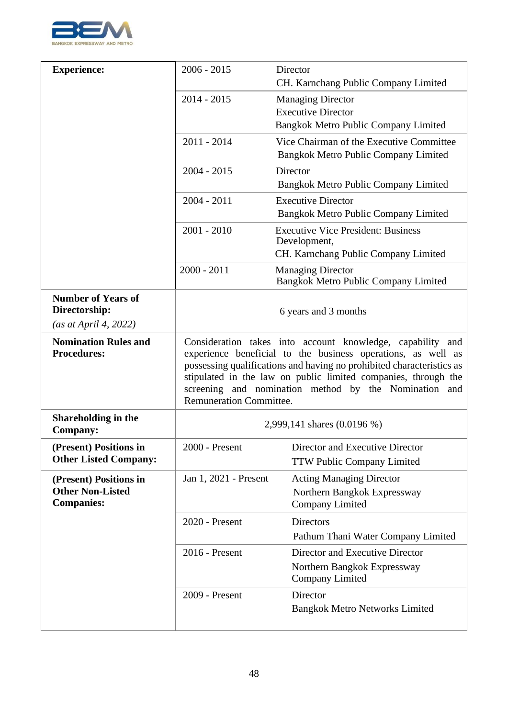

| <b>Experience:</b>                                | $2006 - 2015$                                                                                                                                                                                                                                                                                                                                                    | Director                                                         |
|---------------------------------------------------|------------------------------------------------------------------------------------------------------------------------------------------------------------------------------------------------------------------------------------------------------------------------------------------------------------------------------------------------------------------|------------------------------------------------------------------|
|                                                   |                                                                                                                                                                                                                                                                                                                                                                  | CH. Karnchang Public Company Limited                             |
|                                                   | $2014 - 2015$                                                                                                                                                                                                                                                                                                                                                    | <b>Managing Director</b>                                         |
|                                                   |                                                                                                                                                                                                                                                                                                                                                                  | <b>Executive Director</b>                                        |
|                                                   |                                                                                                                                                                                                                                                                                                                                                                  | Bangkok Metro Public Company Limited                             |
|                                                   | $2011 - 2014$                                                                                                                                                                                                                                                                                                                                                    | Vice Chairman of the Executive Committee                         |
|                                                   |                                                                                                                                                                                                                                                                                                                                                                  | Bangkok Metro Public Company Limited                             |
|                                                   | $2004 - 2015$                                                                                                                                                                                                                                                                                                                                                    | Director                                                         |
|                                                   |                                                                                                                                                                                                                                                                                                                                                                  | Bangkok Metro Public Company Limited                             |
|                                                   | $2004 - 2011$                                                                                                                                                                                                                                                                                                                                                    | <b>Executive Director</b>                                        |
|                                                   |                                                                                                                                                                                                                                                                                                                                                                  | Bangkok Metro Public Company Limited                             |
|                                                   | $2001 - 2010$                                                                                                                                                                                                                                                                                                                                                    | <b>Executive Vice President: Business</b><br>Development,        |
|                                                   |                                                                                                                                                                                                                                                                                                                                                                  | CH. Karnchang Public Company Limited                             |
|                                                   | $2000 - 2011$                                                                                                                                                                                                                                                                                                                                                    | <b>Managing Director</b><br>Bangkok Metro Public Company Limited |
| <b>Number of Years of</b>                         |                                                                                                                                                                                                                                                                                                                                                                  |                                                                  |
| Directorship:                                     |                                                                                                                                                                                                                                                                                                                                                                  | 6 years and 3 months                                             |
| (as at April 4, 2022)                             |                                                                                                                                                                                                                                                                                                                                                                  |                                                                  |
| <b>Nomination Rules and</b><br><b>Procedures:</b> | Consideration takes into account knowledge, capability and<br>experience beneficial to the business operations, as well as<br>possessing qualifications and having no prohibited characteristics as<br>stipulated in the law on public limited companies, through the<br>screening and nomination method by the Nomination and<br><b>Remuneration Committee.</b> |                                                                  |
| Shareholding in the<br><b>Company:</b>            | 2,999,141 shares (0.0196 %)                                                                                                                                                                                                                                                                                                                                      |                                                                  |
| (Present) Positions in                            | $2000$ - Present                                                                                                                                                                                                                                                                                                                                                 | Director and Executive Director                                  |
| <b>Other Listed Company:</b>                      |                                                                                                                                                                                                                                                                                                                                                                  | <b>TTW Public Company Limited</b>                                |
| (Present) Positions in                            | Jan 1, 2021 - Present                                                                                                                                                                                                                                                                                                                                            | <b>Acting Managing Director</b>                                  |
| <b>Other Non-Listed</b>                           |                                                                                                                                                                                                                                                                                                                                                                  | Northern Bangkok Expressway                                      |
| <b>Companies:</b>                                 |                                                                                                                                                                                                                                                                                                                                                                  | <b>Company Limited</b>                                           |
|                                                   | 2020 - Present                                                                                                                                                                                                                                                                                                                                                   | <b>Directors</b>                                                 |
|                                                   |                                                                                                                                                                                                                                                                                                                                                                  | Pathum Thani Water Company Limited                               |
|                                                   | 2016 - Present                                                                                                                                                                                                                                                                                                                                                   | Director and Executive Director                                  |
|                                                   |                                                                                                                                                                                                                                                                                                                                                                  | Northern Bangkok Expressway<br><b>Company Limited</b>            |
|                                                   | 2009 - Present                                                                                                                                                                                                                                                                                                                                                   | Director                                                         |
|                                                   |                                                                                                                                                                                                                                                                                                                                                                  | <b>Bangkok Metro Networks Limited</b>                            |
|                                                   |                                                                                                                                                                                                                                                                                                                                                                  |                                                                  |